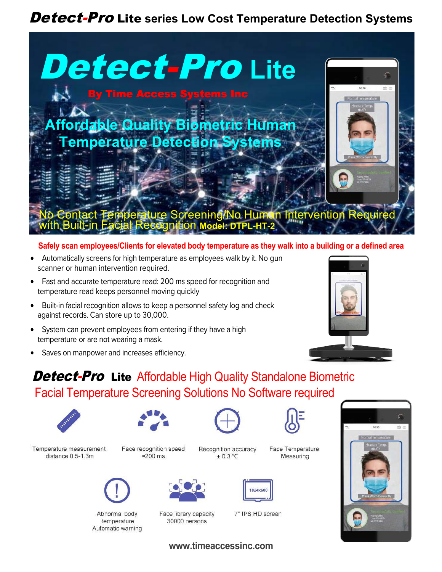## Detect-Pro Lite **series Low Cost Temperature Detection Systems**



#### Safely scan employees/Clients for elevated body temperature as they walk into a building or a defined area

- Automatically screens for high temperature as employees walk by it. No gun scanner or human intervention required.
- Fast and accurate temperature read: 200 ms speed for recognition and temperature read keeps personnel moving quickly
- Built-in facial recognition allows to keep a personnel safety log and check against records. Can store up to 30,000.
- System can prevent employees from entering if they have a high temperature or are not wearing a mask.
- Saves on manpower and increases efficiency.



# **Detect-Pro Lite Affordable High Quality Standalone Biometric** Facial Temperature Screening Solutions No Software required



Temperature measurement

distance 0.5-1.3m







Face recognition speed  $\approx$  200 ms

Recognition accuracy  $±0.3 °C$ 

Face Temperature Measuring





Abnormal body temperature Automatic warning



Face library capacity 30000 persons

7" IPS HD screen

**www.timeaccessinc.com**